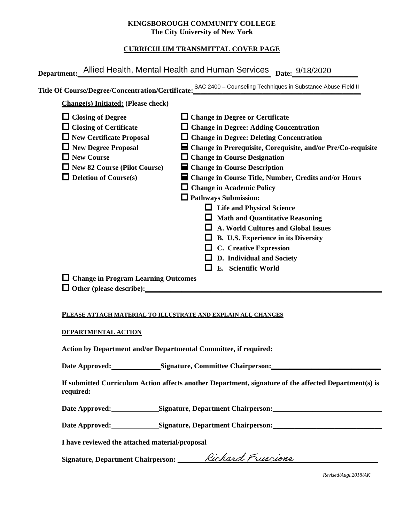#### **KINGSBOROUGH COMMUNITY COLLEGE The City University of New York**

# **CURRICULUM TRANSMITTAL COVER PAGE**

| Department: Allied Health, Mental Health and Human Services                                                                                                                                                            | Date: 9/18/2020                                                                                                                                                                                                                                                                                                                                                                                                                                                                                                                                             |
|------------------------------------------------------------------------------------------------------------------------------------------------------------------------------------------------------------------------|-------------------------------------------------------------------------------------------------------------------------------------------------------------------------------------------------------------------------------------------------------------------------------------------------------------------------------------------------------------------------------------------------------------------------------------------------------------------------------------------------------------------------------------------------------------|
|                                                                                                                                                                                                                        | Title Of Course/Degree/Concentration/Certificate: SAC 2400 - Counseling Techniques in Substance Abuse Field II                                                                                                                                                                                                                                                                                                                                                                                                                                              |
| <b>Change(s)</b> Initiated: (Please check)                                                                                                                                                                             |                                                                                                                                                                                                                                                                                                                                                                                                                                                                                                                                                             |
| $\Box$ Closing of Degree<br>$\Box$ Closing of Certificate<br>$\Box$ New Certificate Proposal<br>$\Box$ New Degree Proposal<br>$\Box$ New Course<br>$\Box$ New 82 Course (Pilot Course)<br>$\Box$ Deletion of Course(s) | $\Box$ Change in Degree or Certificate<br>$\Box$ Change in Degree: Adding Concentration<br>$\Box$ Change in Degree: Deleting Concentration<br>■ Change in Prerequisite, Corequisite, and/or Pre/Co-requisite<br>$\Box$ Change in Course Designation<br>$\blacksquare$ Change in Course Description<br>■ Change in Course Title, Number, Credits and/or Hours<br>$\Box$ Change in Academic Policy<br>$\Box$ Pathways Submission:<br>$\Box$ Life and Physical Science<br><b>Math and Quantitative Reasoning</b><br><b>A. World Cultures and Global Issues</b> |
|                                                                                                                                                                                                                        | B. U.S. Experience in its Diversity<br><b>C.</b> Creative Expression<br>D. Individual and Society<br>E. Scientific World                                                                                                                                                                                                                                                                                                                                                                                                                                    |
| $\Box$ Change in Program Learning Outcomes<br>$\Box$ Other (please describe):                                                                                                                                          |                                                                                                                                                                                                                                                                                                                                                                                                                                                                                                                                                             |

#### **PLEASE ATTACH MATERIAL TO ILLUSTRATE AND EXPLAIN ALL CHANGES**

#### **DEPARTMENTAL ACTION**

**Action by Department and/or Departmental Committee, if required:**

Date Approved: Signature, Committee Chairperson:

**If submitted Curriculum Action affects another Department, signature of the affected Department(s) is required:**

Date Approved: Signature, Department Chairperson:

Date Approved: Signature, Department Chairperson: Network and Approved: Network and Separature, Department Chairperson:

**I have reviewed the attached material/proposal**

Signature, Department Chairperson: \_\_\_\_\_\_\_*Rechard Freedone* 

*Revised/Augl.2018/AK*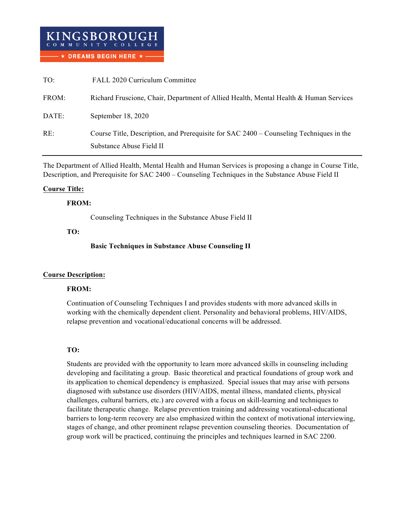| TO:   | FALL 2020 Curriculum Committee                                                          |
|-------|-----------------------------------------------------------------------------------------|
| FROM: | Richard Fruscione, Chair, Department of Allied Health, Mental Health & Human Services   |
| DATE: | September 18, 2020                                                                      |
| RE:   | Course Title, Description, and Prerequisite for SAC 2400 – Counseling Techniques in the |
|       | Substance Abuse Field II                                                                |

The Department of Allied Health, Mental Health and Human Services is proposing a change in Course Title, Description, and Prerequisite for SAC 2400 – Counseling Techniques in the Substance Abuse Field II

### **Course Title:**

### **FROM:**

Counseling Techniques in the Substance Abuse Field II

#### **TO:**

### **Basic Techniques in Substance Abuse Counseling II**

### **Course Description:**

### **FROM:**

Continuation of Counseling Techniques I and provides students with more advanced skills in working with the chemically dependent client. Personality and behavioral problems, HIV/AIDS, relapse prevention and vocational/educational concerns will be addressed.

### **TO:**

Students are provided with the opportunity to learn more advanced skills in counseling including developing and facilitating a group. Basic theoretical and practical foundations of group work and its application to chemical dependency is emphasized. Special issues that may arise with persons diagnosed with substance use disorders (HIV/AIDS, mental illness, mandated clients, physical challenges, cultural barriers, etc.) are covered with a focus on skill-learning and techniques to facilitate therapeutic change. Relapse prevention training and addressing vocational-educational barriers to long-term recovery are also emphasized within the context of motivational interviewing, stages of change, and other prominent relapse prevention counseling theories. Documentation of group work will be practiced, continuing the principles and techniques learned in SAC 2200.